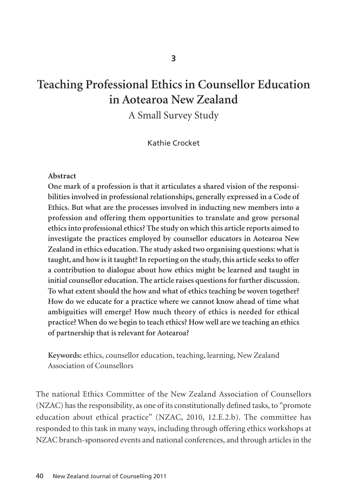# **Teaching Professional Ethics in Counsellor Education in Aotearoa New Zealand**

A Small Survey Study

Kathie Crocket

#### **Abstract**

**One mark of a profession is that it articulates a shared vision of the responsi bilities involved in professional relationships, generally expressed in a Code of Ethics. But what are the processes involved in inducting new members into a profession and offering them opportunities to translate and grow personal ethics into professional ethics? The study on which this article reports aimed to investigate the practices employed by counsellor educators in Aotearoa New Zealand in ethics education. The study asked two organising questions: what is taught, and how is it taught? In reporting on the study, this article seeks to offer a contribution to dialogue about how ethics might be learned and taught in initial counsellor education. The article raises questions for further discussion. To what extent should the how and what of ethics teaching be woven together? How do we educate for a practice where we cannot know ahead of time what ambiguities will emerge? How much theory of ethics is needed for ethical practice? When do we begin to teach ethics? How well are we teaching an ethics of partnership that is relevant for Aotearoa?** 

**Keywords:** ethics, counsellor education, teaching, learning, New Zealand Association of Counsellors

The national Ethics Committee of the New Zealand Association of Counsellors (NZAC) has the responsibility, as one of its constitutionally defined tasks, to "promote education about ethical practice" (NZAC, 2010, 12.E.2.b). The committee has responded to this task in many ways, including through offering ethics workshops at NZAC branch-sponsored events and national conferences, and through articles in the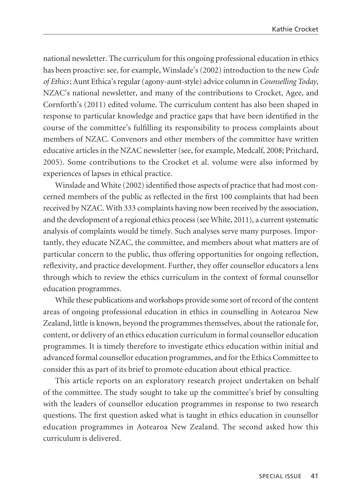national newsletter. The curriculum for this ongoing professional education in ethics has been proactive: see, for example, Winslade's (2002) introduction to the new *Code of Ethics*; Aunt Ethica's regular (agony-aunt-style) advice column in *Counselling Today*, NZAC's national newsletter, and many of the contributions to Crocket, Agee, and Cornforth's (2011) edited volume. The curriculum content has also been shaped in response to particular knowledge and practice gaps that have been identified in the course of the committee's fulfilling its responsibility to process complaints about members of NZAC. Convenors and other members of the committee have written educative articles in the NZAC newsletter (see, for example, Medcalf, 2008; Pritchard, 2005). Some contributions to the Crocket et al. volume were also informed by experiences of lapses in ethical practice.

Winslade and White (2002) identified those aspects of practice that had most concerned members of the public as reflected in the first 100 complaints that had been received by NZAC. With 333 complaints having now been received by the association, and the development of a regional ethics process (see White, 2011), a current systematic analysis of complaints would be timely. Such analyses serve many purposes. Impor tantly, they educate NZAC, the committee, and members about what matters are of particular concern to the public, thus offering opportunities for ongoing reflection, reflexivity, and practice development. Further, they offer counsellor educators a lens through which to review the ethics curriculum in the context of formal counsellor education programmes.

While these publications and workshops provide some sort of record of the content areas of ongoing professional education in ethics in counselling in Aotearoa New Zealand, little is known, beyond the programmes themselves, about the rationale for, content, or delivery of an ethics education curriculum in formal counsellor education programmes. It is timely therefore to investigate ethics education within initial and advanced formal counsellor education programmes, and for the Ethics Committee to consider this as part of its brief to promote education about ethical practice.

This article reports on an exploratory research project undertaken on behalf of the committee. The study sought to take up the committee's brief by consulting with the leaders of counsellor education programmes in response to two research questions. The first question asked what is taught in ethics education in counsellor education programmes in Aotearoa New Zealand. The second asked how this curriculum is delivered.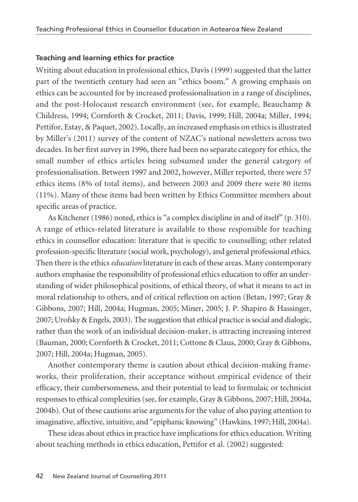#### **Teaching and learning ethics for practice**

Writing about education in professional ethics, Davis (1999) suggested that the latter part of the twentieth century had seen an "ethics boom." A growing emphasis on ethics can be accounted for by increased professionalisation in a range of disciplines, and the post-Holocaust research environment (see, for example, Beauchamp & Childress, 1994; Cornforth & Crocket, 2011; Davis, 1999; Hill, 2004a; Miller, 1994; Pettifor, Estay, & Paquet, 2002). Locally, an increased emphasis on ethics is illustrated by Miller's (2011) survey of the content of NZAC's national newsletters across two decades. In her first survey in 1996, there had been no separate category for ethics, the small number of ethics articles being subsumed under the general category of professionalisation. Between 1997 and 2002, however, Miller reported, there were 57 ethics items (8% of total items), and between 2003 and 2009 there were 80 items (11%). Many of these items had been written by Ethics Committee members about specific areas of practice.

As Kitchener (1986) noted, ethics is "a complex discipline in and of itself" (p. 310). A range of ethics-related literature is available to those responsible for teaching ethics in counsellor education: literature that is specific to counselling; other related profession-specific literature (social work, psychology), and general professional ethics. Then there is the ethics *education* literature in each of these areas. Many contemporary authors emphasise the responsibility of professional ethics education to offer an understanding of wider philosophical positions, of ethical theory, of what it means to act in moral relationship to others, and of critical reflection on action (Betan, 1997; Gray & Gibbons, 2007; Hill, 2004a; Hugman, 2005; Miner, 2005; J. P. Shapiro & Hassinger, 2007; Urofsky & Engels, 2003). The suggestion that ethical practice is social and dialogic, rather than the work of an individual decision-maker, is attracting increasing interest (Bauman, 2000; Cornforth & Crocket, 2011; Cottone & Claus, 2000; Gray & Gibbons, 2007; Hill, 2004a; Hugman, 2005).

Another contemporary theme is caution about ethical decision-making frame works, their proliferation, their acceptance without empirical evidence of their efficacy, their cumbersomeness, and their potential to lead to formulaic or technicist responses to ethical complexities (see, for example, Gray & Gibbons, 2007; Hill, 2004a, 2004b). Out of these cautions arise arguments for the value of also paying attention to imaginative, affective, intuitive, and "epiphanic knowing" (Hawkins, 1997; Hill, 2004a).

These ideas about ethics in practice have implications for ethics education. Writing about teaching methods in ethics education, Pettifor et al. (2002) suggested: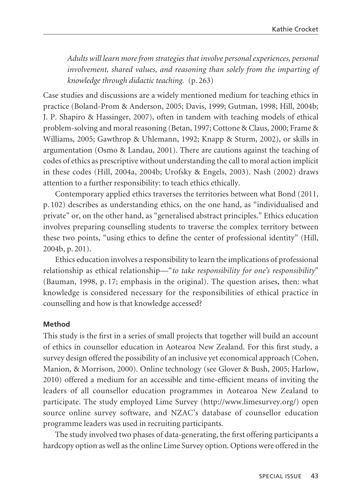*Adults will learn more from strategies that involve personal experiences, personal involvement, shared values, and reasoning than solely from the imparting of knowledge through didactic teaching.* (p. 263)

Case studies and discussions are a widely mentioned medium for teaching ethics in practice (Boland-Prom & Anderson, 2005; Davis, 1999; Gutman, 1998; Hill, 2004b; J. P. Shapiro & Hassinger, 2007), often in tandem with teaching models of ethical problem-solving and moral reasoning (Betan, 1997; Cottone & Claus, 2000; Frame & Williams, 2005; Gawthrop & Uhlemann, 1992; Knapp & Sturm, 2002), or skills in argumentation (Osmo & Landau, 2001). There are cautions against the teaching of codes of ethics as prescriptive without understanding the call to moral action implicit in these codes (Hill, 2004a, 2004b; Urofsky & Engels, 2003). Nash (2002) draws attention to a further responsibility: to teach ethics ethically.

Contemporary applied ethics traverses the territories between what Bond (2011, p. 102) describes as understanding ethics, on the one hand, as "individualised and private" or, on the other hand, as "generalised abstract principles." Ethics education involves preparing counselling students to traverse the complex territory between these two points, "using ethics to define the center of professional identity" (Hill, 2004b, p. 201).

Ethics education involves a responsibility to learn the implications of professional relationship as ethical relationship—"*to take responsibility for one's responsibility*" (Bauman, 1998, p. 17; emphasis in the original). The question arises, then: what knowl edge is considered necessary for the responsibilities of ethical practice in counselling and how is that knowledge accessed?

#### **Method**

This study is the first in a series of small projects that together will build an account of ethics in counsellor education in Aotearoa New Zealand. For this first study, a survey design offered the possibility of an inclusive yet economical approach (Cohen, Manion, & Morrison, 2000). Online technology (see Glover & Bush, 2005; Harlow, 2010) offered a medium for an accessible and time-efficient means of inviting the leaders of all counsellor education programmes in Aotearoa New Zealand to participate. The study employed Lime Survey (http://www.limesurvey.org/) open source online survey software, and NZAC's database of counsellor education programme leaders was used in recruiting participants.

The study involved two phases of data-generating, the first offering participants a hardcopy option as well as the online Lime Survey option. Options were offered in the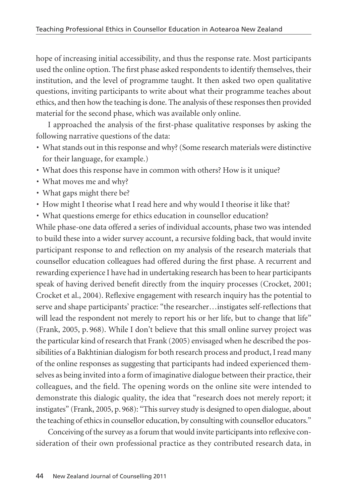hope of increasing initial accessibility, and thus the response rate. Most participants used the online option. The first phase asked respondents to identify themselves, their institution, and the level of programme taught. It then asked two open qualitative questions, inviting participants to write about what their programme teaches about ethics, and then how the teaching is done. The analysis of these responses then provided material for the second phase, which was available only online.

I approached the analysis of the first-phase qualitative responses by asking the following narrative questions of the data:

- What stands out in this response and why? (Some research materials were distinctive for their language, for example.)
- What does this response have in common with others? How is it unique?
- What moves me and why?
- What gaps might there be?
- How might I theorise what I read here and why would I theorise it like that?
- What questions emerge for ethics education in counsellor education?

While phase-one data offered a series of individual accounts, phase two was intended to build these into a wider survey account, a recursive folding back, that would invite participant response to and reflection on my analysis of the research materials that counsellor education colleagues had offered during the first phase. A recurrent and rewarding experience I have had in undertaking research has been to hear participants speak of having derived benefit directly from the inquiry processes (Crocket, 2001; Crocket et al., 2004). Reflexive engagement with research inquiry has the potential to serve and shape participants' practice: "the researcher…instigates self-reflections that will lead the respondent not merely to report his or her life, but to change that life" (Frank, 2005, p. 968). While I don't believe that this small online survey project was the particular kind of research that Frank (2005) envisaged when he described the possibilities of a Bakhtinian dialogism for both research process and product, I read many of the online responses as suggesting that participants had indeed experienced themselves as being invited into a form of imaginative dialogue between their practice, their colleagues, and the field. The opening words on the online site were intended to demonstrate this dialogic quality, the idea that "research does not merely report; it instigates" (Frank, 2005, p. 968): "This survey study is designed to open dialogue, about the teaching of ethics in counsellor education, by consulting with counsellor educators."

Conceiving of the survey as a forum that would invite participants into reflexive consideration of their own professional practice as they contributed research data, in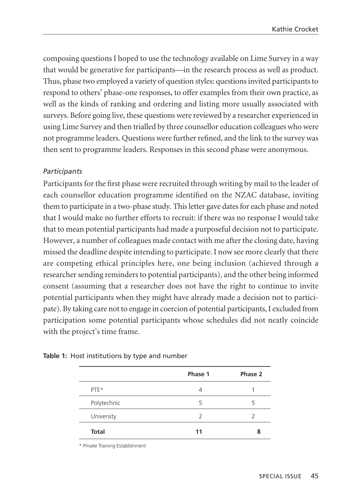composing questions I hoped to use the technology available on Lime Survey in a way that would be generative for participants—in the research process as well as product. Thus, phase two employed a variety of question styles: questions invited participants to respond to others' phase-one responses, to offer examples from their own practice, as well as the kinds of ranking and ordering and listing more usually associated with surveys. Before going live, these questions were reviewed by a researcher experienced in using Lime Survey and then trialled by three counsellor education colleagues who were not programme leaders. Questions were further refined, and the link to the survey was then sent to programme leaders. Responses in this second phase were anonymous.

## *Participants*

Participants for the first phase were recruited through writing by mail to the leader of each counsellor education programme identified on the NZAC database, inviting them to participate in a two-phase study. This letter gave dates for each phase and noted that I would make no further efforts to recruit: if there was no response I would take that to mean potential participants had made a purposeful decision not to participate. However, a number of colleagues made contact with me after the closing date, having missed the deadline despite intending to participate. I now see more clearly that there are competing ethical principles here, one being inclusion (achieved through a researcher sending reminders to potential participants), and the other being informed consent (assuming that a researcher does not have the right to continue to invite potential participants when they might have already made a decision not to partici pate). By taking care not to engage in coercion of potential participants, I excluded from participation some potential participants whose schedules did not neatly coincide with the project's time frame.

|             | Phase 1 | Phase 2 |
|-------------|---------|---------|
| PTE*        | 4       |         |
| Polytechnic | 5       | 5       |
| University  | 2       |         |
| Total       | 11      |         |

**Table 1:** Host institutions by type and number

\* Private Training Establishment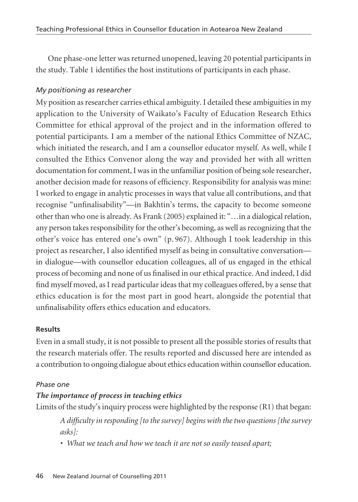One phase-one letter was returned unopened, leaving 20 potential participants in the study. Table 1 identifies the host institutions of participants in each phase.

## *My positioning as researcher*

My position as researcher carries ethical ambiguity. I detailed these ambiguities in my application to the University of Waikato's Faculty of Education Research Ethics Committee for ethical approval of the project and in the information offered to potential participants. I am a member of the national Ethics Committee of NZAC, which initiated the research, and I am a counsellor educator myself. As well, while I consulted the Ethics Convenor along the way and provided her with all written documentation for comment, I was in the unfamiliar position of being sole researcher, another decision made for reasons of efficiency. Responsibility for analysis was mine: I worked to engage in analytic processes in ways that value all contributions, and that recognise "unfinalisability"—in Bakhtin's terms, the capacity to become someone other than who one is already. As Frank (2005) explained it: "…in a dialogical relation, any person takes responsibility for the other's becoming, as well as recognizing that the other's voice has entered one's own" (p. 967). Although I took leadership in this project as researcher, I also identified myself as being in consultative conversation in dialogue—with counsellor education colleagues, all of us engaged in the ethical process of becoming and none of us finalised in our ethical practice. And indeed, I did find myself moved, as I read particular ideas that my colleagues offered, by a sense that ethics education is for the most part in good heart, alongside the potential that unfinalisability offers ethics education and educators.

## **Results**

Even in a small study, it is not possible to present all the possible stories of results that the research materials offer. The results reported and discussed here are intended as a contribution to ongoing dialogue about ethics education within counsellor education.

## *Phase one*

# *The importance of process in teaching ethics*

Limits of the study's inquiry process were highlighted by the response (R1) that began:

*A difficulty in responding [to the survey] begins with the two questions [the survey asks]:*

*• What we teach and how we teach it are not so easily teased apart;*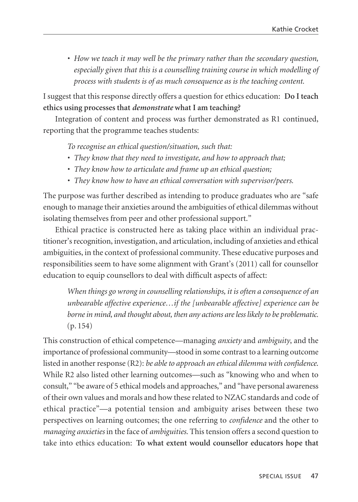*• How we teach it may well be the primary rather than the secondary question, especially given that this is a counselling training course in which modelling of process with students is of as much consequence as is the teaching content.* 

I suggest that this response directly offers a question for ethics education: **Do I teach ethics using processes that** *demonstrate* **what I am teaching?** 

Integration of content and process was further demonstrated as R1 continued, reporting that the programme teaches students:

*To recognise an ethical question/situation, such that:*

- *They know that they need to investigate, and how to approach that;*
- *They know how to articulate and frame up an ethical question;*
- *They know how to have an ethical conversation with supervisor/peers.*

The purpose was further described as intending to produce graduates who are "safe enough to manage their anxieties around the ambiguities of ethical dilemmas without isolating themselves from peer and other professional support."

Ethical practice is constructed here as taking place within an individual practitioner's recognition, investigation, and articulation, including of anxieties and ethical ambiguities, in the context of professional community. These educative purposes and responsibilities seem to have some alignment with Grant's (2011) call for counsellor education to equip counsellors to deal with difficult aspects of affect:

*When things go wrong in counselling relationships, it is often a consequence of an unbearable affective experience…if the [unbearable affective] experience can be borne in mind, and thought about, then any actions are less likely to be problematic.* (p. 154)

This construction of ethical competence—managing *anxiety* and *ambiguity*, and the importance of professional community—stood in some contrast to a learning outcome listed in another response (R2): *be able to approach an ethical dilemma with confidence*. While R2 also listed other learning outcomes—such as "knowing who and when to consult," "be aware of 5 ethical models and approaches," and "have personal awareness of their own values and morals and how these related to NZAC standards and code of ethical practice"—a potential tension and ambiguity arises between these two perspectives on learning outcomes; the one referring to *confidence* and the other to *managing anxieties* in the face of *ambiguities*. This tension offers a second question to take into ethics education: **To what extent would counsellor educators hope that**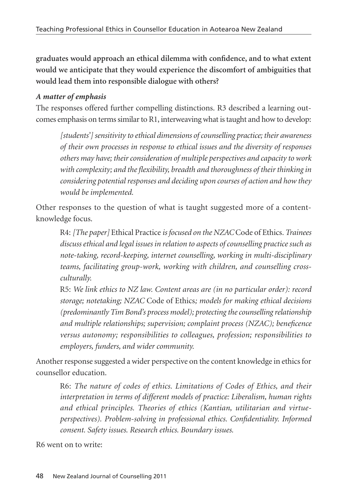**graduates would approach an ethical dilemma with confidence, and to what extent would we anticipate that they would experience the discomfort of ambiguities that would lead them into responsible dialogue with others?** 

# *A matter of emphasis*

The responses offered further compelling distinctions. R3 described a learning outcomes emphasis on terms similar to R1, interweaving what is taught and how to develop:

*[students'] sensitivity to ethical dimensions of counselling practice; their awareness of their own processes in response to ethical issues and the diversity of responses others may have; their consideration of multiple perspectives and capacity to work with complexity; and the flexibility, breadth and thoroughness of their thinking in considering potential responses and deciding upon courses of action and how they would be implemented.*

Other responses to the question of what is taught suggested more of a contentknowledge focus.

R4: *[The paper]* Ethical Practice *is focused on the NZAC* Code of Ethics*. Trainees discuss ethical and legal issues in relation to aspects of counselling practice such as note-taking, record-keeping, internet counselling, working in multi-disciplinary teams, facilitating group-work, working with children, and counselling crossculturally.* 

R5: *We link ethics to NZ law. Content areas are (in no particular order): record storage; notetaking; NZAC* Code of Ethics*; models for making ethical decisions (predominantly Tim Bond's process model); protecting the counselling relationship and multiple relationships; supervision; complaint process (NZAC); beneficence versus autonomy; responsibilities to colleagues, profession; responsibilities to employers, funders, and wider community.*

Another response suggested a wider perspective on the content knowledge in ethics for counsellor education.

R6: *The nature of codes of ethics. Limitations of Codes of Ethics, and their interpretation in terms of different models of practice: Liberalism, human rights and ethical principles. Theories of ethics (Kantian, utilitarian and virtueperspectives). Problem-solving in professional ethics. Confidentiality. Informed consent. Safety issues. Research ethics. Boundary issues.* 

R6 went on to write: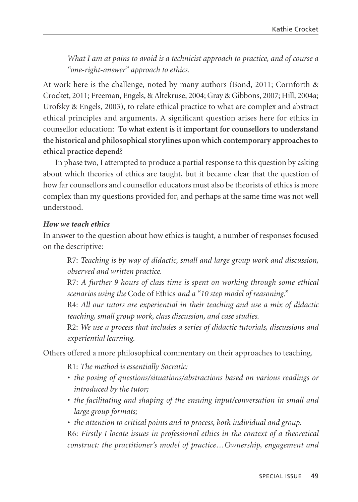*What I am at pains to avoid is a technicist approach to practice, and of course a "one-right-answer" approach to ethics.*

At work here is the challenge, noted by many authors (Bond, 2011; Cornforth & Crocket, 2011; Freeman, Engels, & Altekruse, 2004; Gray & Gibbons, 2007; Hill, 2004a; Urofsky & Engels, 2003), to relate ethical practice to what are complex and abstract ethical principles and arguments. A significant question arises here for ethics in counsellor education: **To what extent is it important for counsellors to understand the historical and philosophical storylines upon which contemporary approaches to ethical practice depend?** 

In phase two, I attempted to produce a partial response to this question by asking about which theories of ethics are taught, but it became clear that the question of how far counsellors and counsellor educators must also be theorists of ethics is more complex than my questions provided for, and perhaps at the same time was not well understood.

#### *How we teach ethics*

In answer to the question about how ethics is taught, a number of responses focused on the descriptive:

R7: *Teaching is by way of didactic, small and large group work and discussion, observed and written practice.*

R7: *A further 9 hours of class time is spent on working through some ethical scenarios using the* Code of Ethics *and a "10 step model of reasoning."*

R4: *All our tutors are experiential in their teaching and use a mix of didactic teaching, small group work, class discussion, and case studies.*

R2: *We use a process that includes a series of didactic tutorials, discussions and experiential learning.*

Others offered a more philosophical commentary on their approaches to teaching.

R1: *The method is essentially Socratic:*

- *the posing of questions/situations/abstractions based on various readings or introduced by the tutor;*
- *the facilitating and shaping of the ensuing input/conversation in small and large group formats;*
- *the attention to critical points and to process, both individual and group.* R6: *Firstly I locate issues in professional ethics in the context of a theoretical construct: the practitioner's model of practice…Ownership, engagement and*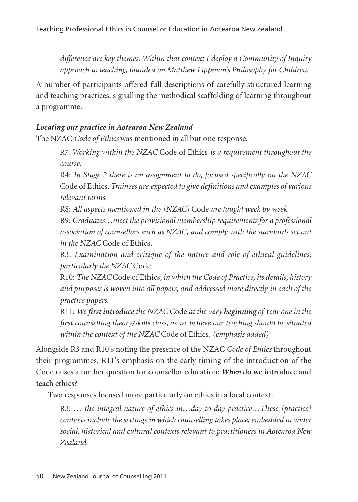*difference are key themes. Within that context I deploy a Community of Inquiry approach to teaching, founded on Matthew Lippman's Philosophy for Children.*

A number of participants offered full descriptions of carefully structured learning and teaching practices, signalling the methodical scaffolding of learning throughout a programme.

## *Locating our practice in Aotearoa New Zealand*

The NZAC *Code of Ethics* was mentioned in all but one response:

R7: *Working within the NZAC* Code of Ethics *is a requirement throughout the course.*

R4: *In Stage 2 there is an assignment to do, focused specifically on the NZAC* Code of Ethics*. Trainees are expected to give definitions and examples of various relevant terms.*

R8: *All aspects mentioned in the [NZAC]* Code *are taught week by week.*

R9: *Graduates…meet the provisional membership requirements for a professional association of counsellors such as NZAC, and comply with the standards set out in the NZAC* Code of Ethics*.*

R3: *Examination and critique of the nature and role of ethical guidelines, particularly the NZAC* Code*.*

R10: *The NZAC* Code of Ethics*, in which the Code of Practice, its details, history and purposes is woven into all papers, and addressed more directly in each of the practice papers.*

R11: *We first introduce the NZAC* Code *at the very beginning of Year one in the first counselling theory/skills class, as we believe our teaching should be situated within the context of the NZAC* Code of Ethics*. (emphasis added)*

Alongside R3 and R10's noting the presence of the NZAC *Code of Ethics* throughout their programmes, R11's emphasis on the early timing of the introduction of the Code raises a further question for counsellor education: *When* **do we introduce and teach ethics?**

Two responses focused more particularly on ethics in a local context.

R3: *… the integral nature of ethics in…day to day practice…These [practice] contexts include the settings in which counselling takes place, embedded in wider social, historical and cultural contexts relevant to practitioners in Aotearoa New Zealand.*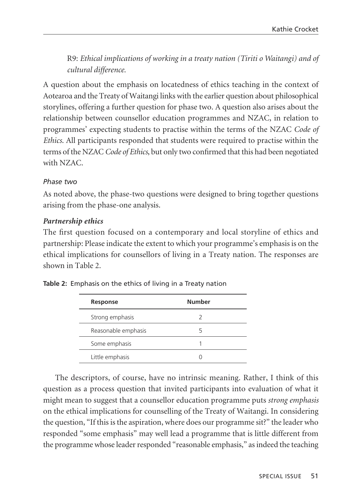R9: *Ethical implications of working in a treaty nation (Tiriti o Waitangi) and of cultural difference.*

A question about the emphasis on locatedness of ethics teaching in the context of Aotearoa and the Treaty of Waitangi links with the earlier question about philosophical storylines, offering a further question for phase two. A question also arises about the relationship between counsellor education programmes and NZAC, in relation to programmes' expecting students to practise within the terms of the NZAC *Code of Ethics*. All participants responded that students were required to practise within the terms of the NZAC *Code of Ethics*, but only two confirmed that this had been negotiated with NZAC.

## *Phase two*

As noted above, the phase-two questions were designed to bring together questions arising from the phase-one analysis.

## *Partnership ethics*

The first question focused on a contemporary and local storyline of ethics and partnership: Please indicate the extent to which your programme's emphasis is on the ethical implications for counsellors of living in a Treaty nation. The responses are shown in Table 2.

| Response            | <b>Number</b> |
|---------------------|---------------|
| Strong emphasis     |               |
| Reasonable emphasis |               |
| Some emphasis       |               |
| Little emphasis     |               |

| Table 2: Emphasis on the ethics of living in a Treaty nation |  |  |  |
|--------------------------------------------------------------|--|--|--|
|                                                              |  |  |  |

The descriptors, of course, have no intrinsic meaning. Rather, I think of this question as a process question that invited participants into evaluation of what it might mean to suggest that a counsellor education programme puts *strong emphasis* on the ethical implications for counselling of the Treaty of Waitangi. In considering the question, "If this is the aspiration, where does our programme sit?" the leader who responded "some emphasis" may well lead a programme that is little different from the programme whose leader responded "reasonable emphasis," as indeed the teaching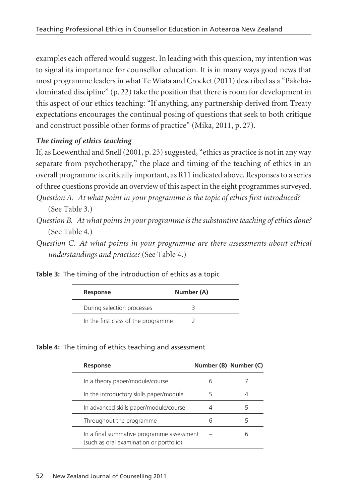examples each offered would suggest. In leading with this question, my intention was to signal its importance for counsellor education. It is in many ways good news that most programme leaders in what Te Wiata and Crocket (2011) described as a "Päkehädominated discipline" (p. 22) take the position that there is room for development in this aspect of our ethics teaching: "If anything, any partnership derived from Treaty expectations encourages the continual posing of questions that seek to both critique and construct possible other forms of practice" (Mika, 2011, p. 27).

# *The timing of ethics teaching*

If, as Loewenthal and Snell (2001, p. 23) suggested, "ethics as practice is not in any way separate from psychotherapy," the place and timing of the teaching of ethics in an overall programme is critically important, as R11 indicated above. Responses to a series of three questions provide an overview of this aspect in the eight programmes surveyed. *Question A. At what point in your programme is the topic of ethics first introduced?*  (See Table 3.)

- *Question B. At what points in your programme is the substantive teaching of ethics done?* (See Table 4.)
- *Question C. At what points in your programme are there assessments about ethical understandings and practice?* (See Table 4.)

|  | Table 3: The timing of the introduction of ethics as a topic |  |  |
|--|--------------------------------------------------------------|--|--|
|  |                                                              |  |  |

| Response                            | Number (A) |
|-------------------------------------|------------|
| During selection processes          |            |
| In the first class of the programme |            |

#### **Table 4:** The timing of ethics teaching and assessment

| Response                                                                             |   | Number (B) Number (C) |
|--------------------------------------------------------------------------------------|---|-----------------------|
| In a theory paper/module/course                                                      | h |                       |
| In the introductory skills paper/module                                              |   |                       |
| In advanced skills paper/module/course                                               |   | 5                     |
| Throughout the programme                                                             | h |                       |
| In a final summative programme assessment<br>(such as oral examination or portfolio) |   |                       |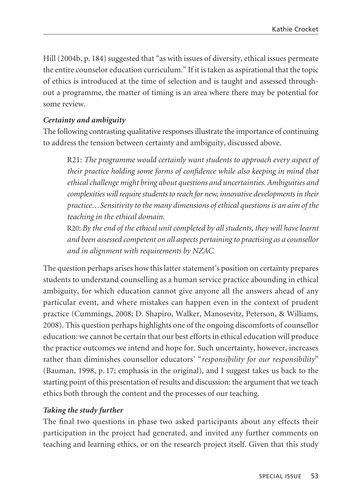Hill (2004b, p. 184) suggested that "as with issues of diversity, ethical issues permeate the entire counselor education curriculum." If it is taken as aspirational that the topic of ethics is introduced at the time of selection and is taught and assessed throughout a programme, the matter of timing is an area where there may be potential for some review.

#### *Certainty and ambiguity*

The following contrasting qualitative responses illustrate the importance of continuing to address the tension between certainty and ambiguity, discussed above.

R21: *The programme would certainly want students to approach every aspect of their practice holding some forms of confidence while also keeping in mind that ethical challenge might bring about questions and uncertainties. Ambiguities and complexities will require students to reach for new, innovative developments in their practice…Sensitivity to the many dimensions of ethical questions is an aim of the teaching in the ethical domain.*

R20: *By the end of the ethical unit completed by all students, they will have learnt and been assessed competent on all aspects pertaining to practising as a counsellor and in alignment with requirements by NZAC.*

The question perhaps arises how this latter statement's position on certainty prepares students to understand counselling as a human service practice abounding in ethical ambiguity, for which education cannot give anyone all the answers ahead of any particular event, and where mistakes can happen even in the context of prudent practice (Cummings, 2008; D. Shapiro, Walker, Manosevitz, Peterson, & Williams, 2008). This question perhaps highlights one of the ongoing discomforts of counsellor education: we cannot be certain that our best efforts in ethical education will produce the practice outcomes we intend and hope for. Such uncertainty, however, increases rather than diminishes counsellor educators' "*responsibility for our responsibility*" (Bauman, 1998, p. 17; emphasis in the original), and I suggest takes us back to the starting point of this presentation of results and discussion: the argument that we teach ethics both through the content and the processes of our teaching.

#### *Taking the study further*

The final two questions in phase two asked participants about any effects their participation in the project had generated, and invited any further comments on teaching and learning ethics, or on the research project itself. Given that this study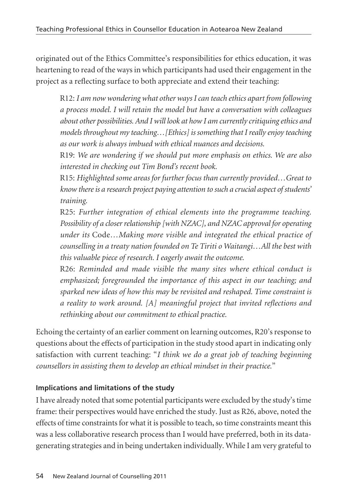originated out of the Ethics Committee's responsibilities for ethics education, it was heartening to read of the ways in which participants had used their engagement in the project as a reflecting surface to both appreciate and extend their teaching:

R12: *I am now wondering what other ways I can teach ethics apart from following a process model. I will retain the model but have a conversation with colleagues about other possibilities. And I will look at how I am currently critiquing ethics and models throughout my teaching…[Ethics] is something that I really enjoy teaching as our work is always imbued with ethical nuances and decisions.*

R19: *We are wondering if we should put more emphasis on ethics. We are also interested in checking out Tim Bond's recent book.*

R15: *Highlighted some areas for further focus than currently provided…Great to know there is a research project paying attention to such a crucial aspect of students' training.*

R25: *Further integration of ethical elements into the programme teaching. Possibility of a closer relationship [with NZAC], and NZAC approval for operating under its* Code*…Making more visible and integrated the ethical practice of counselling in a treaty nation founded on Te Tiriti o Waitangi…All the best with this valuable piece of research. I eagerly await the outcome.*

R26: *Reminded and made visible the many sites where ethical conduct is emphasized; foregrounded the importance of this aspect in our teaching; and sparked new ideas of how this may be revisited and reshaped. Time constraint is a reality to work around. [A] meaningful project that invited reflections and rethinking about our commitment to ethical practice.*

Echoing the certainty of an earlier comment on learning outcomes, R20's response to questions about the effects of participation in the study stood apart in indicating only satisfaction with current teaching: "*I think we do a great job of teaching beginning counsellors in assisting them to develop an ethical mindset in their practice.*"

# **Implications and limitations of the study**

I have already noted that some potential participants were excluded by the study's time frame: their perspectives would have enriched the study. Just as R26, above, noted the effects of time constraints for what it is possible to teach, so time constraints meant this was a less collaborative research process than I would have preferred, both in its datagenerating strategies and in being undertaken individually. While I am very grateful to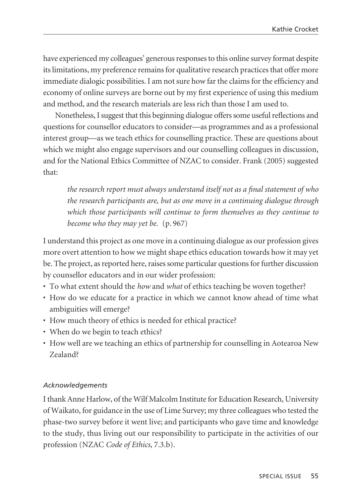have experienced my colleagues' generous responses to this online survey format despite its limitations, my preference remains for qualitative research practices that offer more immediate dialogic possibilities. I am not sure how far the claims for the efficiency and economy of online surveys are borne out by my first experience of using this medium and method, and the research materials are less rich than those I am used to.

Nonetheless, I suggest that this beginning dialogue offers some useful reflections and questions for counsellor educators to consider—as programmes and as a professional interest group—as we teach ethics for counselling practice. These are questions about which we might also engage supervisors and our counselling colleagues in discussion, and for the National Ethics Committee of NZAC to consider. Frank (2005) suggested that:

*the research report must always understand itself not as a final statement of who the research participants are, but as one move in a continuing dialogue through which those participants will continue to form themselves as they continue to become who they may yet be.* (p. 967)

I understand this project as one move in a continuing dialogue as our profession gives more overt attention to how we might shape ethics education towards how it may yet be. The project, as reported here, raises some particular questions for further discussion by counsellor educators and in our wider profession:

- To what extent should the *how* and *what* of ethics teaching be woven together?
- How do we educate for a practice in which we cannot know ahead of time what ambiguities will emerge?
- How much theory of ethics is needed for ethical practice?
- When do we begin to teach ethics?
- How well are we teaching an ethics of partnership for counselling in Aotearoa New Zealand?

#### *Acknowledgements*

I thank Anne Harlow, of the Wilf Malcolm Institute for Education Research, University of Waikato, for guidance in the use of Lime Survey; my three colleagues who tested the phase-two survey before it went live; and participants who gave time and knowledge to the study, thus living out our responsibility to participate in the activities of our profession (NZAC *Code of Ethics*, 7.3.b).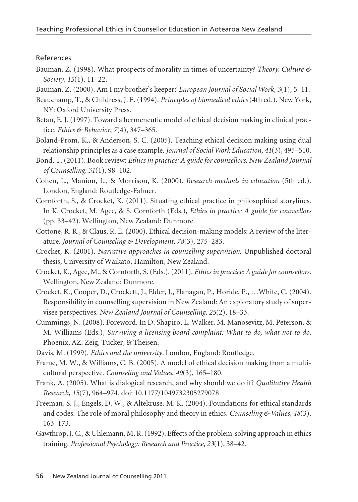#### References

- Bauman, Z. (1998). What prospects of morality in times of uncertainty? *Theory, Culture & Society*, *15*(1), 11–22.
- Bauman, Z. (2000). Am I my brother's keeper? *European Journal of Social Work*, *3*(1), 5–11.
- Beauchamp, T., & Childress, J. F. (1994). *Principles of biomedical ethics* (4th ed.). New York, NY: Oxford University Press.
- Betan, E. J. (1997). Toward a hermeneutic model of ethical decision making in clinical practice. *Ethics & Behavior*, *7*(4), 347–365.
- Boland-Prom, K., & Anderson, S. C. (2005). Teaching ethical decision making using dual relationship principles as a case example. *Journal of Social Work Education*, *41*(3), 495–510.
- Bond, T. (2011). Book review: *Ethics in practice: A guide for counsellors. New Zealand Journal of Counselling, 31*(1), 98–102.
- Cohen, L., Manion, L., & Morrison, K. (2000). *Research methods in education* (5th ed.). London, England: Routledge-Falmer.
- Cornforth, S., & Crocket, K. (2011). Situating ethical practice in philosophical storylines. In K. Crocket, M. Agee, & S. Cornforth (Eds.), *Ethics in practice: A guide for counsellors* (pp. 33–42). Wellington, New Zealand: Dunmore.
- Cottone, R. R., & Claus, R. E. (2000). Ethical decision-making models: A review of the literature. *Journal of Counseling & Development*, *78*(3), 275–283.
- Crocket, K. (2001). *Narrative approaches in counselling supervision*. Unpublished doctoral thesis, University of Waikato, Hamilton, New Zealand.
- Crocket, K., Agee, M., & Cornforth, S. (Eds.). (2011). *Ethics in practice: A guide for counsellors*. Wellington, New Zealand: Dunmore.
- Crocket, K., Cooper, D., Crockett, J., Elder, J., Flanagan, P., Horide, P., …White, C. (2004). Responsibility in counselling supervision in New Zealand: An exploratory study of supervisee perspectives. *New Zealand Journal of Counselling*, *25*(2), 18–33.
- Cummings, N. (2008). Foreword. In D. Shapiro, L. Walker, M. Manosevitz, M. Peterson, & M. Williams (Eds.), *Surviving a licensing board complaint: What to do, what not to do*. Phoenix, AZ: Zeig, Tucker, & Theisen.
- Davis, M. (1999). *Ethics and the university*. London, England: Routledge.
- Frame, M. W., & Williams, C. B. (2005). A model of ethical decision making from a multicultural perspective. *Counseling and Values*, *49*(3), 165–180.
- Frank, A. (2005). What is dialogical research, and why should we do it? *Qualitative Health Research*, *15*(7), 964–974. doi: 10.1177/1049732305279078
- Freeman, S. J., Engels, D. W., & Altekruse, M. K. (2004). Foundations for ethical standards and codes: The role of moral philosophy and theory in ethics. *Counseling & Values*, *48*(3), 163–173.
- Gawthrop, J. C., & Uhlemann, M. R. (1992). Effects of the problem-solving approach in ethics training. *Professional Psychology: Research and Practice*, *23*(1), 38–42.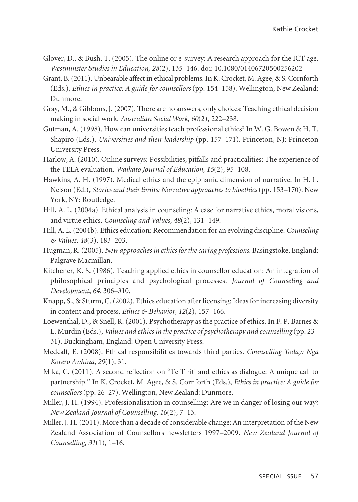- Glover, D., & Bush, T. (2005). The online or e-survey: A research approach for the ICT age. *Westminster Studies in Education, 28*(2), 135–146. doi: 10.1080/01406720500256202
- Grant, B. (2011). Unbearable affect in ethical problems. In K. Crocket, M. Agee, & S. Cornforth (Eds.), *Ethics in practice: A guide for counsellors* (pp. 154–158). Wellington, New Zealand: Dunmore.
- Gray, M., & Gibbons, J. (2007). There are no answers, only choices: Teaching ethical decision making in social work. *Australian Social Work*, *60*(2), 222–238.
- Gutman, A. (1998). How can universities teach professional ethics? In W. G. Bowen & H. T. Shapiro (Eds.), *Universities and their leadership* (pp. 157–171). Princeton, NJ: Princeton University Press.
- Harlow, A. (2010). Online surveys: Possibilities, pitfalls and practicalities: The experience of the TELA evaluation. *Waikato Journal of Education*, *15*(2), 95–108.
- Hawkins, A. H. (1997). Medical ethics and the epiphanic dimension of narrative. In H. L. Nelson (Ed.), *Stories and their limits: Narrative approaches to bioethics* (pp. 153–170). New York, NY: Routledge.
- Hill, A. L. (2004a). Ethical analysis in counseling: A case for narrative ethics, moral visions, and virtue ethics. *Counseling and Values*, *48*(2), 131–149.
- Hill, A. L. (2004b). Ethics education: Recommendation for an evolving discipline. *Counseling & Values*, *48*(3), 183–203.
- Hugman, R. (2005). *New approaches in ethics for the caring professions*. Basingstoke, England: Palgrave Macmillan.
- Kitchener, K. S. (1986). Teaching applied ethics in counsellor education: An integration of philosophical principles and psychological processes. *Journal of Counseling and Development*, *64*, 306–310.
- Knapp, S., & Sturm, C. (2002). Ethics education after licensing: Ideas for increasing diversity in content and process. *Ethics & Behavior*, *12*(2), 157–166.
- Loewenthal, D., & Snell, R. (2001). Psychotherapy as the practice of ethics. In F. P. Barnes & L. Murdin (Eds.), *Values and ethics in the practice of psychotherapy and counselling* (pp. 23– 31). Buckingham, England: Open University Press.
- Medcalf, E. (2008). Ethical responsibilities towards third parties. *Counselling Today: Nga Korero Awhina*, *29*(1), 31.
- Mika, C. (2011). A second reflection on "Te Tiriti and ethics as dialogue: A unique call to partnership." In K. Crocket, M. Agee, & S. Cornforth (Eds.), *Ethics in practice: A guide for counsellors* (pp. 26–27). Wellington, New Zealand: Dunmore.
- Miller, J. H. (1994). Professionalisation in counselling: Are we in danger of losing our way? *New Zealand Journal of Counselling*, *16*(2), 7–13.
- Miller, J. H. (2011). More than a decade of considerable change: An interpretation of the New Zealand Association of Counsellors newsletters 1997–2009. *New Zealand Journal of Counselling*, *31*(1), 1–16.